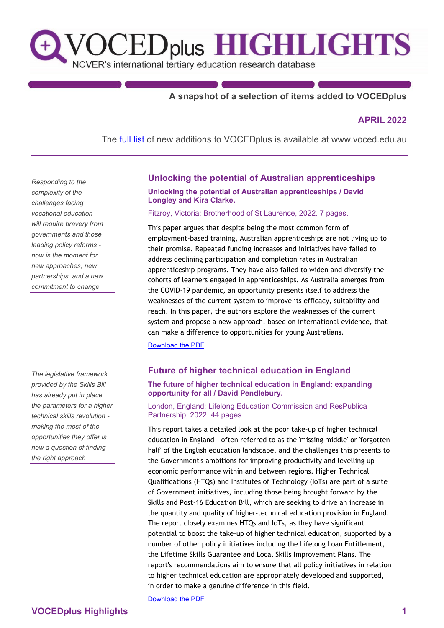# VOCED<sub>plus</sub> HIGHLIGHTS  $\mathbf{t}$

NCVER's international tertiary education research database

# **A snapshot of a selection of items added to VOCEDplus**

# **APRIL 2022**

The **[full list](https://www.voced.edu.au/newItemsAdded)** of new additions to VOCEDplus is available at [www.voced.edu.au](https://www.voced.edu.au/)

*Responding to the complexity of the challenges facing vocational education will require bravery from governments and those leading policy reforms now is the moment for new approaches, new partnerships, and a new commitment to change*

*The legislative framework provided by the Skills Bill has already put in place the parameters for a higher technical skills revolution making the most of the opportunities they offer is now a question of finding the right approach*

# **Unlocking the potential of Australian apprenticeships**

**Unlocking the potential of Australian apprenticeships / David Longley and Kira Clarke.** 

#### Fitzroy, Victoria: Brotherhood of St Laurence, 2022. 7 pages.

This paper argues that despite being the most common form of employment-based training, Australian apprenticeships are not living up to their promise. Repeated funding increases and initiatives have failed to address declining participation and completion rates in Australian apprenticeship programs. They have also failed to widen and diversify the cohorts of learners engaged in apprenticeships. As Australia emerges from the COVID-19 pandemic, an opportunity presents itself to address the weaknesses of the current system to improve its efficacy, suitability and reach. In this paper, the authors explore the weaknesses of the current system and propose a new approach, based on international evidence, that can make a difference to opportunities for young Australians.

[Download the PDF](https://library.bsl.org.au/bsljspui/bitstream/1/12920/1/ClarkeLongley_Unlocking_potential_of_Australian_apprenticeships_Apr2022.pdf)

## **Future of higher technical education in England**

#### **The future of higher technical education in England: expanding opportunity for all / David Pendlebury.**

London, England: Lifelong Education Commission and ResPublica Partnership, 2022. 44 pages.

This report takes a detailed look at the poor take-up of higher technical education in England - often referred to as the 'missing middle' or 'forgotten half' of the English education landscape, and the challenges this presents to the Government's ambitions for improving productivity and levelling up economic performance within and between regions. Higher Technical Qualifications (HTQs) and Institutes of Technology (IoTs) are part of a suite of Government initiatives, including those being brought forward by the Skills and Post-16 Education Bill, which are seeking to drive an increase in the quantity and quality of higher-technical education provision in England. The report closely examines HTQs and IoTs, as they have significant potential to boost the take-up of higher technical education, supported by a number of other policy initiatives including the Lifelong Loan Entitlement, the Lifetime Skills Guarantee and Local Skills Improvement Plans. The report's recommendations aim to ensure that all policy initiatives in relation to higher technical education are appropriately developed and supported, in order to make a genuine difference in this field.

[Download the PDF](https://www.lifelongeducation.uk/_files/ugd/5e41e6_36fc2a43a46348c39e9f9680125917ed.pdf)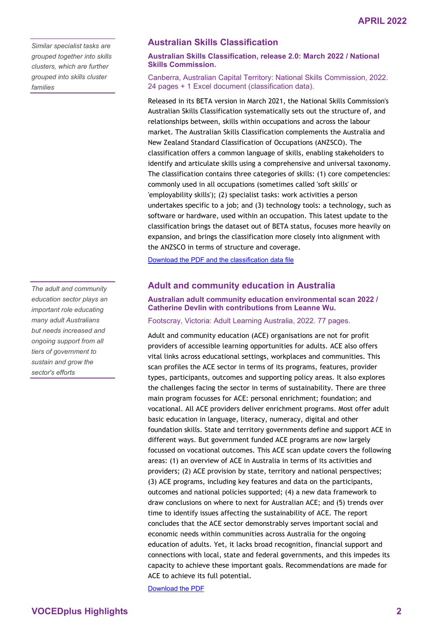*Similar specialist tasks are grouped together into skills clusters, which are further grouped into skills cluster families*

*The adult and community education sector plays an important role educating many adult Australians but needs increased and ongoing support from all tiers of government to sustain and grow the sector's efforts*

## **Australian Skills Classification**

**Australian Skills Classification, release 2.0: March 2022 / National Skills Commission.** 

Canberra, Australian Capital Territory: National Skills Commission, 2022. 24 pages + 1 Excel document (classification data).

Released in its BETA version in March 2021, the National Skills Commission's Australian Skills Classification systematically sets out the structure of, and relationships between, skills within occupations and across the labour market. The Australian Skills Classification complements the Australia and New Zealand Standard Classification of Occupations (ANZSCO). The classification offers a common language of skills, enabling stakeholders to identify and articulate skills using a comprehensive and universal taxonomy. The classification contains three categories of skills: (1) core competencies: commonly used in all occupations (sometimes called 'soft skills' or 'employability skills'); (2) specialist tasks: work activities a person undertakes specific to a job; and (3) technology tools: a technology, such as software or hardware, used within an occupation. This latest update to the classification brings the dataset out of BETA status, focuses more heavily on expansion, and brings the classification more closely into alignment with the ANZSCO in terms of structure and coverage.

[Download the PDF and the classification data file](https://www.nationalskillscommission.gov.au/australian-skills-classification)

### **Adult and community education in Australia**

**Australian adult community education environmental scan 2022 / Catherine Devlin with contributions from Leanne Wu.** 

Footscray, Victoria: Adult Learning Australia, 2022. 77 pages.

Adult and community education (ACE) organisations are not for profit providers of accessible learning opportunities for adults. ACE also offers vital links across educational settings, workplaces and communities. This scan profiles the ACE sector in terms of its programs, features, provider types, participants, outcomes and supporting policy areas. It also explores the challenges facing the sector in terms of sustainability. There are three main program focusses for ACE: personal enrichment; foundation; and vocational. All ACE providers deliver enrichment programs. Most offer adult basic education in language, literacy, numeracy, digital and other foundation skills. State and territory governments define and support ACE in different ways. But government funded ACE programs are now largely focussed on vocational outcomes. This ACE scan update covers the following areas: (1) an overview of ACE in Australia in terms of its activities and providers; (2) ACE provision by state, territory and national perspectives; (3) ACE programs, including key features and data on the participants, outcomes and national policies supported; (4) a new data framework to draw conclusions on where to next for Australian ACE; and (5) trends over time to identify issues affecting the sustainability of ACE. The report concludes that the ACE sector demonstrably serves important social and economic needs within communities across Australia for the ongoing education of adults. Yet, it lacks broad recognition, financial support and connections with local, state and federal governments, and this impedes its capacity to achieve these important goals. Recommendations are made for ACE to achieve its full potential.

[Download the PDF](https://ala.asn.au/wp-content/uploads/2022/03/Australian-ACE-Report-2022.pdf)